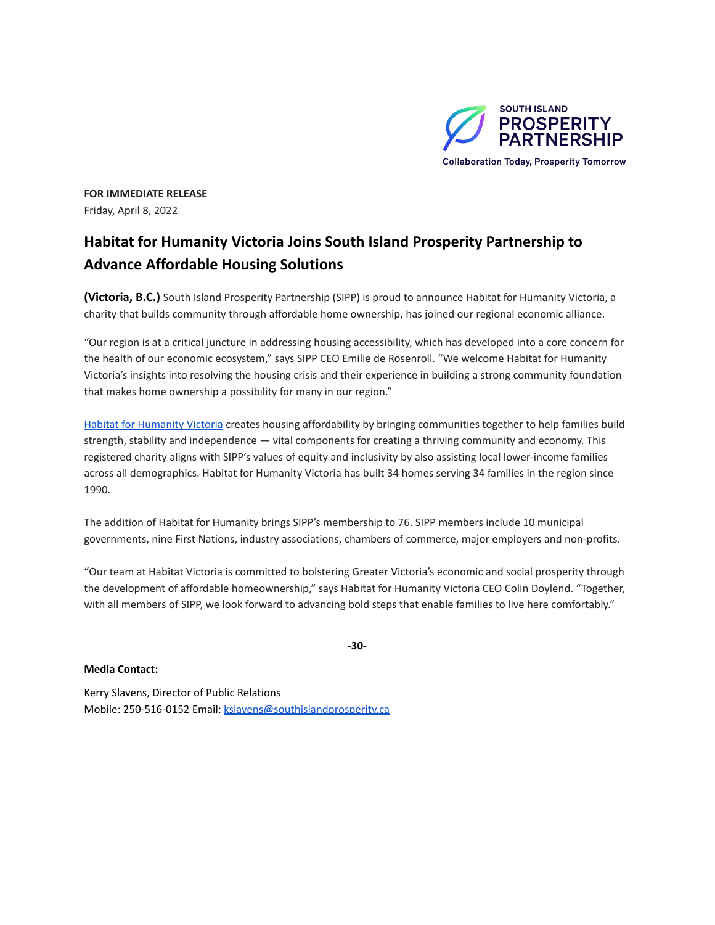

**FOR IMMEDIATE RELEASE** Friday, April 8, 2022

## **Habitat for Humanity Victoria Joins South Island Prosperity Partnership to Advance Affordable Housing Solutions**

**(Victoria, B.C.)** South Island Prosperity Partnership (SIPP) is proud to announce Habitat for Humanity Victoria, a charity that builds community through affordable home ownership, has joined our regional economic alliance.

"Our region is at a critical juncture in addressing housing accessibility, which has developed into a core concern for the health of our economic ecosystem," says SIPP CEO Emilie de Rosenroll. "We welcome Habitat for Humanity Victoria's insights into resolving the housing crisis and their experience in building a strong community foundation that makes home ownership a possibility for many in our region."

Habitat for [Humanity](https://www.habitatvictoria.com/) Victoria creates housing affordability by bringing communities together to help families build strength, stability and independence — vital components for creating a thriving community and economy. This registered charity aligns with SIPP's values of equity and inclusivity by also assisting local lower-income families across all demographics. Habitat for Humanity Victoria has built 34 homes serving 34 families in the region since 1990.

The addition of Habitat for Humanity brings SIPP's membership to 76. SIPP members include 10 municipal governments, nine First Nations, industry associations, chambers of commerce, major employers and non-profits.

"Our team at Habitat Victoria is committed to bolstering Greater Victoria's economic and social prosperity through the development of affordable homeownership," says Habitat for Humanity Victoria CEO Colin Doylend. "Together, with all members of SIPP, we look forward to advancing bold steps that enable families to live here comfortably."

**-30-**

**Media Contact:**

Kerry Slavens, Director of Public Relations Mobile: 250-516-0152 Email: [kslavens@southislandprosperity.ca](mailto:kslavens@southislandprosperity.ca)